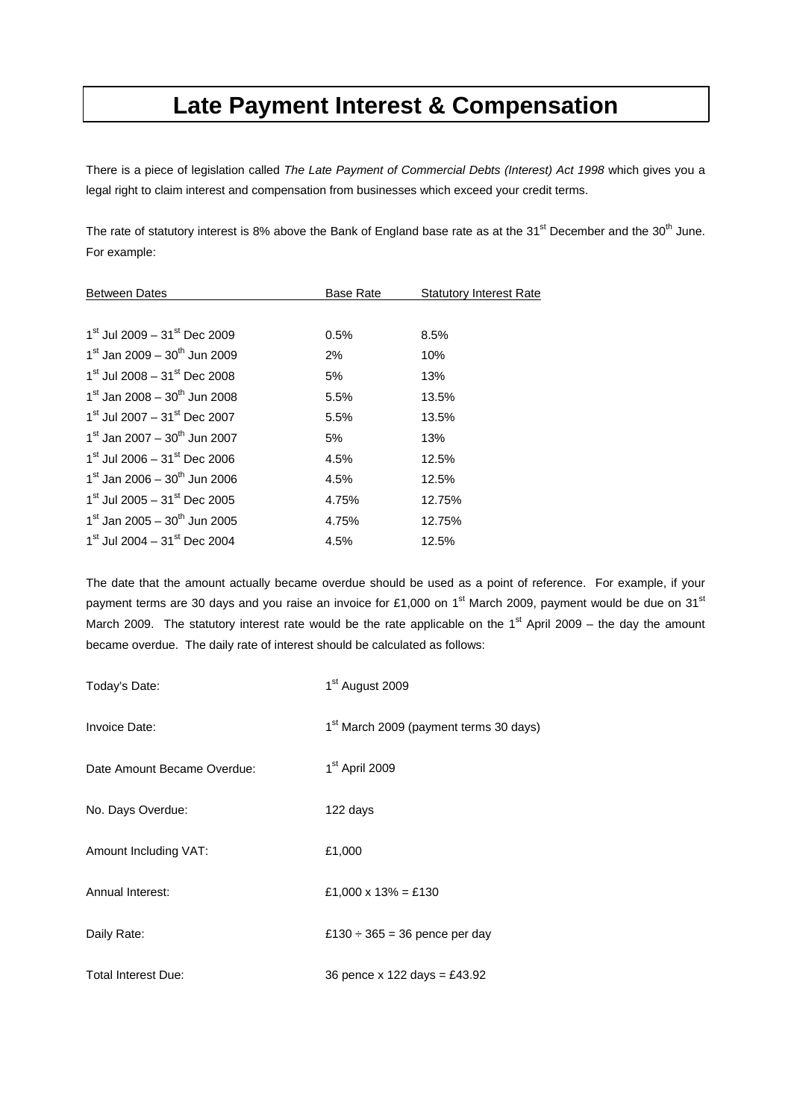## **Late Payment Interest & Compensation**

There is a piece of legislation called *The Late Payment of Commercial Debts (Interest) Act 1998* which gives you a legal right to claim interest and compensation from businesses which exceed your credit terms.

The rate of statutory interest is 8% above the Bank of England base rate as at the 31<sup>st</sup> December and the 30<sup>th</sup> June. For example:

| <b>Between Dates</b>                                 | <b>Base Rate</b> | <b>Statutory Interest Rate</b> |
|------------------------------------------------------|------------------|--------------------------------|
|                                                      |                  |                                |
| $1^{\rm st}$ Jul 2009 – 31 $^{\rm st}$ Dec 2009      | 0.5%             | 8.5%                           |
| $1^{\text{st}}$ Jan 2009 – $30^{\text{th}}$ Jun 2009 | $2\%$            | 10%                            |
| $1^{\rm st}$ Jul 2008 – 31 <sup>st</sup> Dec 2008    | 5%               | 13%                            |
| $1st$ Jan 2008 – $30th$ Jun 2008                     | 5.5%             | 13.5%                          |
| $1st$ Jul 2007 – $31st$ Dec 2007                     | 5.5%             | 13.5%                          |
| $1st$ Jan 2007 – $30th$ Jun 2007                     | 5%               | 13%                            |
| $1st$ Jul 2006 – $31st$ Dec 2006                     | 4.5%             | 12.5%                          |
| $1st$ Jan 2006 - $30th$ Jun 2006                     | 4.5%             | 12.5%                          |
| $1st$ Jul 2005 - 31 <sup>st</sup> Dec 2005           | 4.75%            | 12.75%                         |
| $1st$ Jan 2005 – $30th$ Jun 2005                     | 4.75%            | 12.75%                         |
| $1^{\rm st}$ Jul 2004 – 31 <sup>st</sup> Dec 2004    | 4.5%             | 12.5%                          |

The date that the amount actually became overdue should be used as a point of reference. For example, if your payment terms are 30 days and you raise an invoice for £1,000 on 1<sup>st</sup> March 2009, payment would be due on 31<sup>st</sup> March 2009. The statutory interest rate would be the rate applicable on the  $1<sup>st</sup>$  April 2009 – the day the amount became overdue. The daily rate of interest should be calculated as follows:

| Today's Date:               | 1 <sup>st</sup> August 2009                        |  |
|-----------------------------|----------------------------------------------------|--|
| Invoice Date:               | 1 <sup>st</sup> March 2009 (payment terms 30 days) |  |
| Date Amount Became Overdue: | 1 <sup>st</sup> April 2009                         |  |
| No. Days Overdue:           | 122 days                                           |  |
| Amount Including VAT:       | £1,000                                             |  |
| Annual Interest:            | £1,000 x 13% = £130                                |  |
| Daily Rate:                 | £130 $\div$ 365 = 36 pence per day                 |  |
| <b>Total Interest Due:</b>  | 36 pence x 122 days = £43.92                       |  |